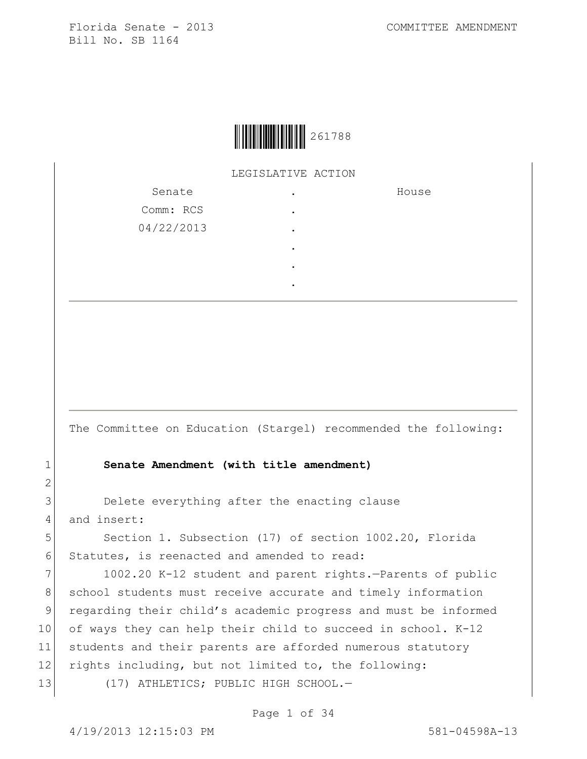LEGISLATIVE ACTION

| Senate     |   | House |
|------------|---|-------|
| Comm: RCS  | ٠ |       |
| 04/22/2013 |   |       |
|            |   |       |
|            |   |       |
|            |   |       |

The Committee on Education (Stargel) recommended the following:

## 1 **Senate Amendment (with title amendment)**

3 Delete everything after the enacting clause 4 and insert:

5 Section 1. Subsection (17) of section 1002.20, Florida 6 Statutes, is reenacted and amended to read:

7 1002.20 K-12 student and parent rights.-Parents of public 8 school students must receive accurate and timely information 9 regarding their child's academic progress and must be informed 10 of ways they can help their child to succeed in school. K-12 11 students and their parents are afforded numerous statutory 12 rights including, but not limited to, the following: 13 (17) ATHLETICS; PUBLIC HIGH SCHOOL.-

Page 1 of 34

2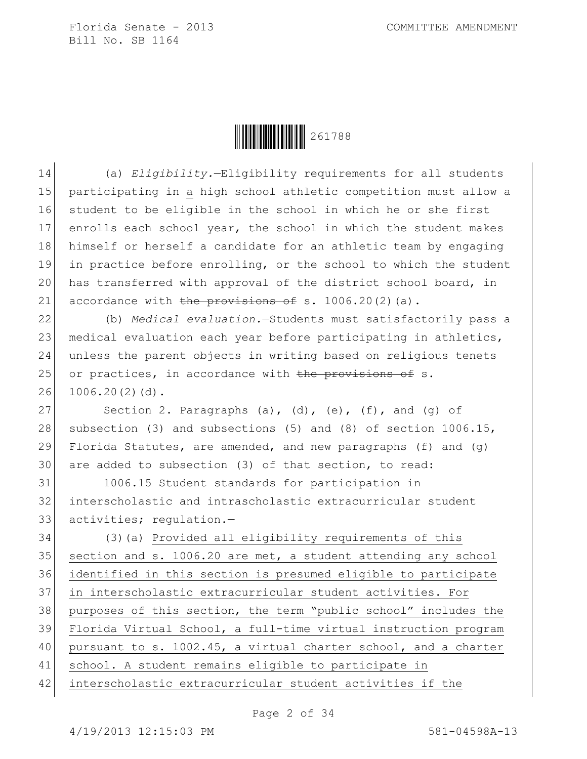

 (a) *Eligibility.*—Eligibility requirements for all students participating in a high school athletic competition must allow a student to be eligible in the school in which he or she first 17 enrolls each school year, the school in which the student makes 18 himself or herself a candidate for an athletic team by engaging in practice before enrolling, or the school to which the student has transferred with approval of the district school board, in 21 accordance with the provisions of s.  $1006.20(2)(a)$ .

22 (b) *Medical evaluation.*—Students must satisfactorily pass a 23 medical evaluation each year before participating in athletics, 24 unless the parent objects in writing based on religious tenets 25 or practices, in accordance with the provisions of s. 26 1006.20(2)(d).

27 Section 2. Paragraphs (a), (d), (e), (f), and (g) of 28 subsection (3) and subsections (5) and (8) of section  $1006.15$ , 29 Florida Statutes, are amended, and new paragraphs (f) and (q) 30 are added to subsection (3) of that section, to read:

31 1006.15 Student standards for participation in 32 interscholastic and intrascholastic extracurricular student 33 activities; regulation.—

 (3)(a) Provided all eligibility requirements of this 35 section and s. 1006.20 are met, a student attending any school identified in this section is presumed eligible to participate in interscholastic extracurricular student activities. For purposes of this section, the term "public school" includes the Florida Virtual School, a full-time virtual instruction program 40 pursuant to s. 1002.45, a virtual charter school, and a charter school. A student remains eligible to participate in interscholastic extracurricular student activities if the

Page 2 of 34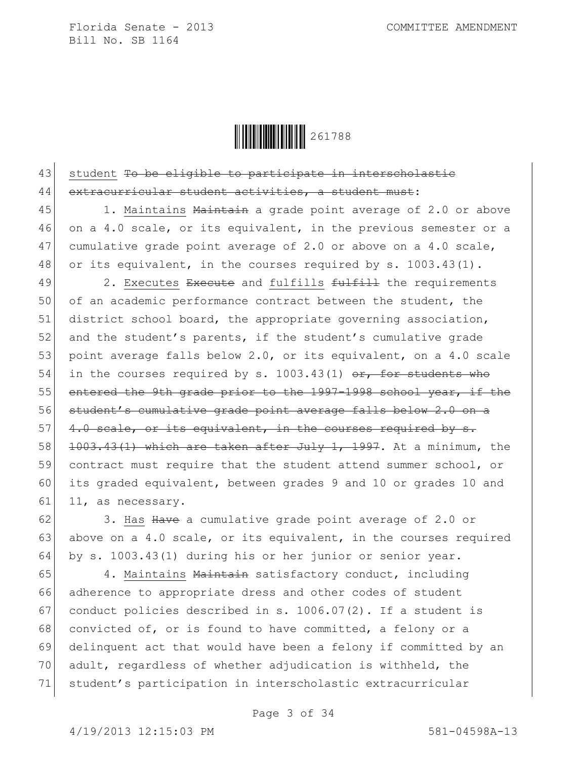

43 student To be eligible to participate in interscholastic 44 extracurricular student activities, a student must:

45 1. Maintains Maintain a grade point average of 2.0 or above 46 on a 4.0 scale, or its equivalent, in the previous semester or a 47 cumulative grade point average of 2.0 or above on a 4.0 scale, 48 or its equivalent, in the courses required by s. 1003.43(1).

49 2. Executes Execute and fulfills fulfill the requirements 50 of an academic performance contract between the student, the 51 district school board, the appropriate governing association, 52 and the student's parents, if the student's cumulative grade 53 point average falls below 2.0, or its equivalent, on a 4.0 scale 54 in the courses required by s. 1003.43(1)  $\sigma$ r, for students who 55 entered the 9th grade prior to the 1997-1998 school year, if the 56 student's cumulative grade point average falls below 2.0 on a 57  $\left[4.0 \text{ scale, or its equivalent, in the courses required by s.}\right]$ 58 1003.43(1) which are taken after July 1, 1997. At a minimum, the 59 contract must require that the student attend summer school, or 60 its graded equivalent, between grades 9 and 10 or grades 10 and 61 11, as necessary.

62 3. Has Have a cumulative grade point average of 2.0 or 63 above on a 4.0 scale, or its equivalent, in the courses required 64 by s. 1003.43(1) during his or her junior or senior year.

65 4. Maintains Maintain satisfactory conduct, including 66 adherence to appropriate dress and other codes of student 67 conduct policies described in s.  $1006.07(2)$ . If a student is 68 convicted of, or is found to have committed, a felony or a 69 delinquent act that would have been a felony if committed by an 70 adult, regardless of whether adjudication is withheld, the 71 student's participation in interscholastic extracurricular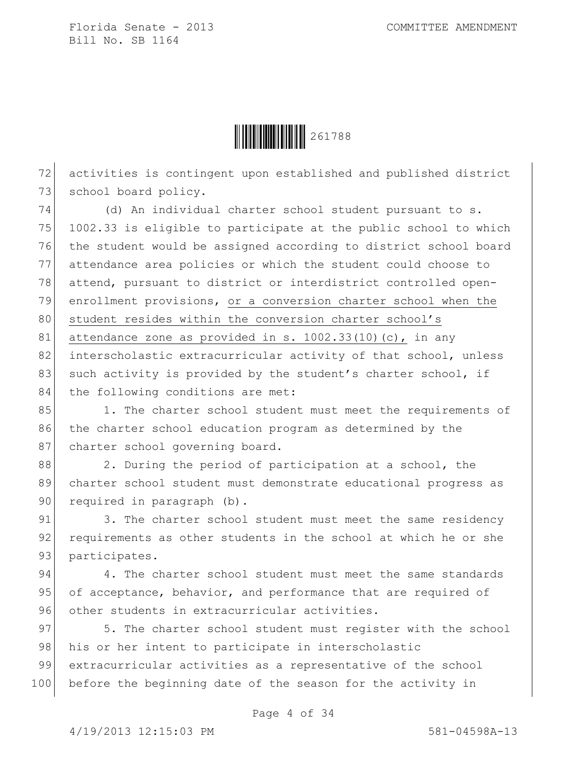

72 activities is contingent upon established and published district 73 school board policy.

74 (d) An individual charter school student pursuant to s. 75 1002.33 is eligible to participate at the public school to which 76 the student would be assigned according to district school board 77 attendance area policies or which the student could choose to 78 attend, pursuant to district or interdistrict controlled open-79 enrollment provisions, or a conversion charter school when the 80 student resides within the conversion charter school's 81 attendance zone as provided in s.  $1002.33(10)(c)$ , in any 82 interscholastic extracurricular activity of that school, unless 83 such activity is provided by the student's charter school, if 84 the following conditions are met:

85 1. The charter school student must meet the requirements of 86 the charter school education program as determined by the 87 charter school governing board.

88 2. During the period of participation at a school, the 89 charter school student must demonstrate educational progress as 90 required in paragraph (b).

91 3. The charter school student must meet the same residency 92 requirements as other students in the school at which he or she 93 participates.

94 4. The charter school student must meet the same standards 95 of acceptance, behavior, and performance that are required of 96 other students in extracurricular activities.

97 5. The charter school student must register with the school 98 his or her intent to participate in interscholastic 99 extracurricular activities as a representative of the school 100 before the beginning date of the season for the activity in

Page 4 of 34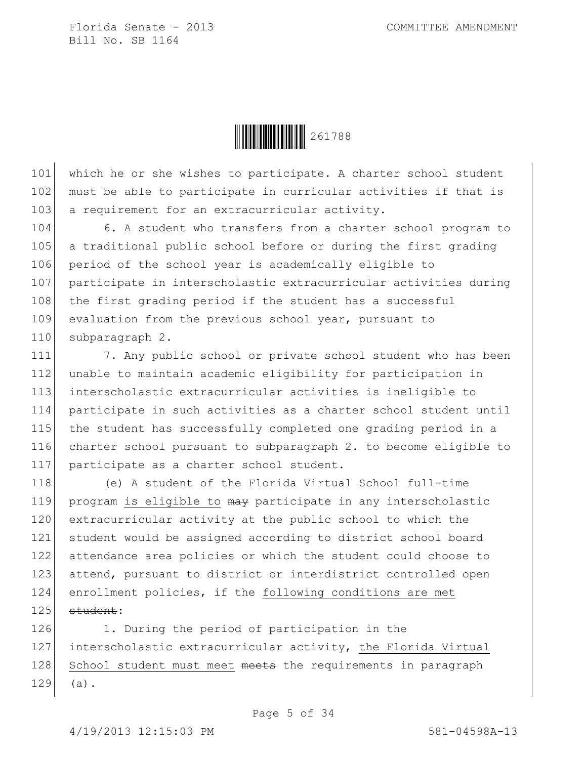

101 which he or she wishes to participate. A charter school student 102 must be able to participate in curricular activities if that is 103 a requirement for an extracurricular activity.

104 6. A student who transfers from a charter school program to 105 a traditional public school before or during the first grading 106 period of the school year is academically eligible to 107 participate in interscholastic extracurricular activities during 108 the first grading period if the student has a successful 109 evaluation from the previous school year, pursuant to 110 subparagraph 2.

 7. Any public school or private school student who has been 112 unable to maintain academic eligibility for participation in interscholastic extracurricular activities is ineligible to participate in such activities as a charter school student until the student has successfully completed one grading period in a charter school pursuant to subparagraph 2. to become eligible to participate as a charter school student.

118 (e) A student of the Florida Virtual School full-time 119 program is eligible to may participate in any interscholastic 120 extracurricular activity at the public school to which the 121 student would be assigned according to district school board 122 attendance area policies or which the student could choose to 123 attend, pursuant to district or interdistrict controlled open 124 enrollment policies, if the following conditions are met  $125$  student:

126 1. During the period of participation in the 127 interscholastic extracurricular activity, the Florida Virtual 128 School student must meet meets the requirements in paragraph 129 (a).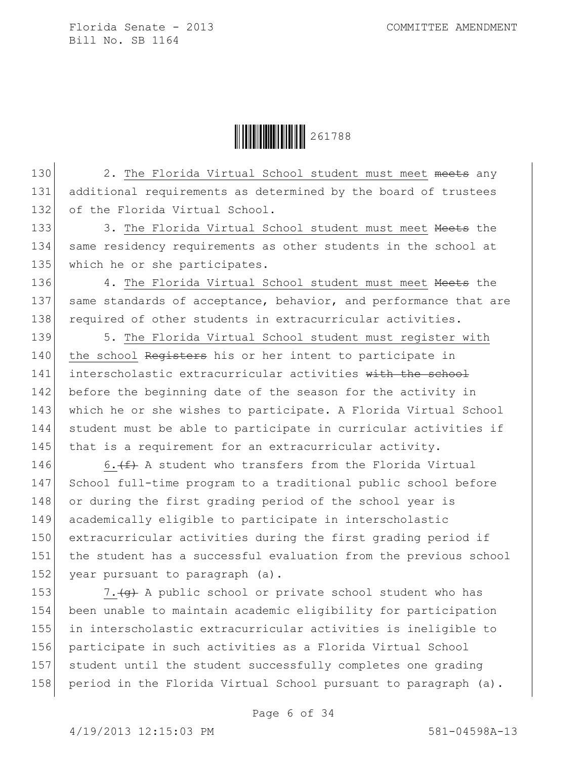Ì261788ZÎ261788

130 2. The Florida Virtual School student must meet meets any 131 additional requirements as determined by the board of trustees 132 of the Florida Virtual School.

133 3. The Florida Virtual School student must meet Heets the 134 same residency requirements as other students in the school at 135 which he or she participates.

136 4. The Florida Virtual School student must meet Meets the 137 same standards of acceptance, behavior, and performance that are 138 required of other students in extracurricular activities.

139 5. The Florida Virtual School student must register with 140 the school Registers his or her intent to participate in 141 interscholastic extracurricular activities with the school 142 before the beginning date of the season for the activity in 143 which he or she wishes to participate. A Florida Virtual School 144 student must be able to participate in curricular activities if 145 that is a requirement for an extracurricular activity.

146 6.  $(f)$  A student who transfers from the Florida Virtual 147 School full-time program to a traditional public school before 148 or during the first grading period of the school year is 149 academically eligible to participate in interscholastic 150 extracurricular activities during the first grading period if 151 the student has a successful evaluation from the previous school 152 year pursuant to paragraph (a).

 $\vert$  7. (g) A public school or private school student who has been unable to maintain academic eligibility for participation in interscholastic extracurricular activities is ineligible to participate in such activities as a Florida Virtual School student until the student successfully completes one grading 158 period in the Florida Virtual School pursuant to paragraph (a).

Page 6 of 34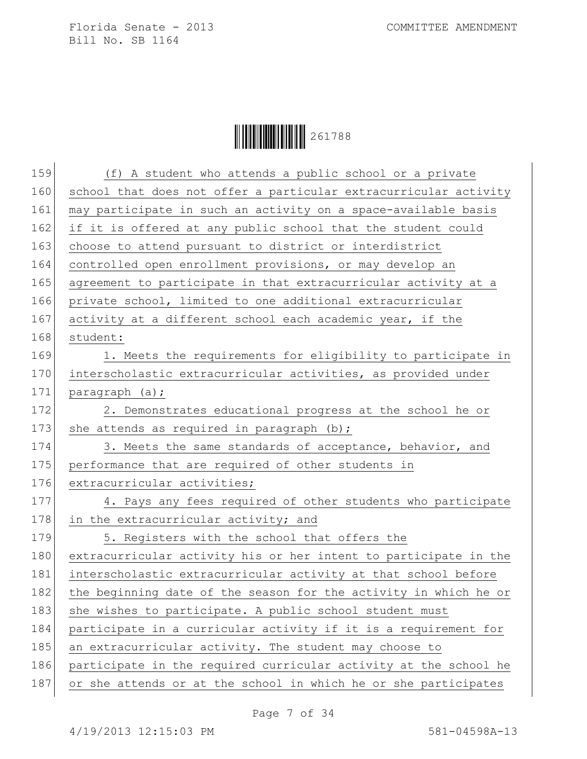| 159 | (f) A student who attends a public school or a private           |
|-----|------------------------------------------------------------------|
| 160 | school that does not offer a particular extracurricular activity |
| 161 | may participate in such an activity on a space-available basis   |
| 162 | if it is offered at any public school that the student could     |
| 163 | choose to attend pursuant to district or interdistrict           |
| 164 | controlled open enrollment provisions, or may develop an         |
| 165 | agreement to participate in that extracurricular activity at a   |
| 166 | private school, limited to one additional extracurricular        |
| 167 | activity at a different school each academic year, if the        |
| 168 | student:                                                         |
| 169 | 1. Meets the requirements for eligibility to participate in      |
| 170 | interscholastic extracurricular activities, as provided under    |
| 171 | paragraph (a);                                                   |
| 172 | 2. Demonstrates educational progress at the school he or         |
| 173 | she attends as required in paragraph $(b)$ ;                     |
| 174 | 3. Meets the same standards of acceptance, behavior, and         |
| 175 | performance that are required of other students in               |
| 176 | extracurricular activities;                                      |
| 177 | 4. Pays any fees required of other students who participate      |
| 178 | in the extracurricular activity; and                             |
| 179 | 5. Registers with the school that offers the                     |
| 180 | extracurricular activity his or her intent to participate in the |
| 181 | interscholastic extracurricular activity at that school before   |
| 182 | the beginning date of the season for the activity in which he or |
| 183 | she wishes to participate. A public school student must          |
| 184 | participate in a curricular activity if it is a requirement for  |
| 185 | an extracurricular activity. The student may choose to           |
| 186 | participate in the required curricular activity at the school he |
| 187 | or she attends or at the school in which he or she participates  |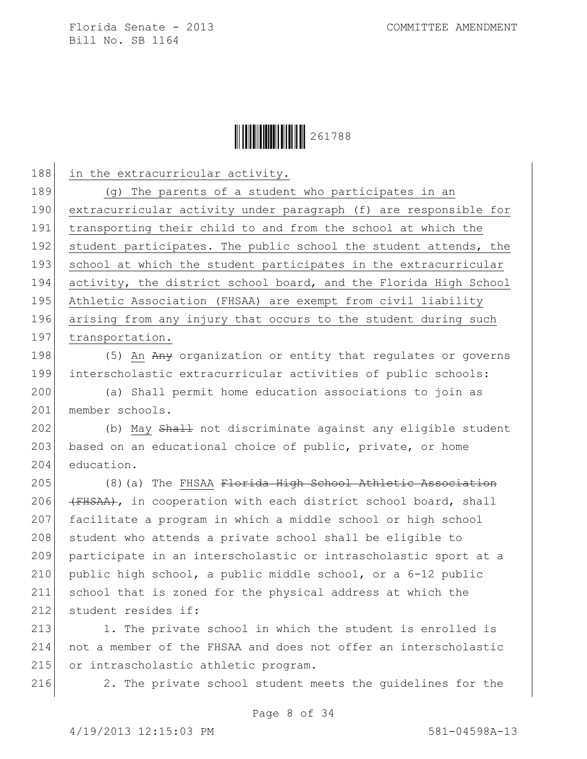

188 in the extracurricular activity.

189 (g) The parents of a student who participates in an 190 extracurricular activity under paragraph (f) are responsible for 191 transporting their child to and from the school at which the 192 student participates. The public school the student attends, the 193 school at which the student participates in the extracurricular 194 activity, the district school board, and the Florida High School 195 Athletic Association (FHSAA) are exempt from civil liability 196 arising from any injury that occurs to the student during such 197 transportation.

198 (5) An Any organization or entity that regulates or governs 199 interscholastic extracurricular activities of public schools:

200 (a) Shall permit home education associations to join as 201 member schools.

202 (b) May Shall not discriminate against any eligible student 203 based on an educational choice of public, private, or home 204 education.

205 (8)(a) The FHSAA <del>Florida High School Athletic Association</del> 206  $(HHSSA)$ , in cooperation with each district school board, shall 207 facilitate a program in which a middle school or high school 208 student who attends a private school shall be eligible to 209 participate in an interscholastic or intrascholastic sport at a 210 public high school, a public middle school, or a 6-12 public 211 school that is zoned for the physical address at which the 212 student resides if:

213 1. The private school in which the student is enrolled is 214 not a member of the FHSAA and does not offer an interscholastic 215 or intrascholastic athletic program.

216 2. The private school student meets the guidelines for the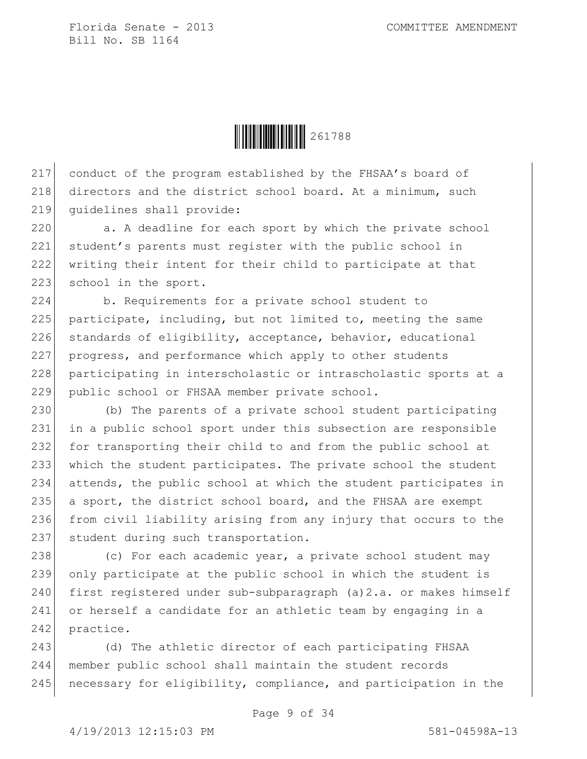

217 conduct of the program established by the FHSAA's board of 218 directors and the district school board. At a minimum, such 219 guidelines shall provide:

220 a. A deadline for each sport by which the private school 221 student's parents must register with the public school in 222 writing their intent for their child to participate at that 223 school in the sport.

224 b. Requirements for a private school student to 225 participate, including, but not limited to, meeting the same 226 standards of eligibility, acceptance, behavior, educational 227 progress, and performance which apply to other students 228 participating in interscholastic or intrascholastic sports at a 229 public school or FHSAA member private school.

230 (b) The parents of a private school student participating in a public school sport under this subsection are responsible for transporting their child to and from the public school at which the student participates. The private school the student attends, the public school at which the student participates in a sport, the district school board, and the FHSAA are exempt from civil liability arising from any injury that occurs to the 237 student during such transportation.

238 (c) For each academic year, a private school student may 239 only participate at the public school in which the student is 240 first registered under sub-subparagraph (a) 2.a. or makes himself 241 or herself a candidate for an athletic team by engaging in a 242 practice.

243 (d) The athletic director of each participating FHSAA 244 member public school shall maintain the student records 245 | necessary for eligibility, compliance, and participation in the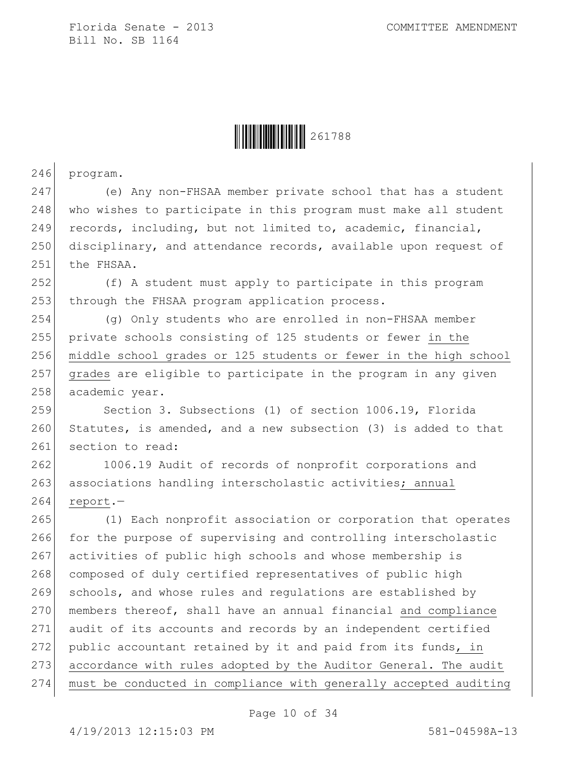

246 program.

247 (e) Any non-FHSAA member private school that has a student 248 who wishes to participate in this program must make all student 249 records, including, but not limited to, academic, financial, 250 disciplinary, and attendance records, available upon request of 251 the FHSAA.

252 (f) A student must apply to participate in this program 253 through the FHSAA program application process.

254 (g) Only students who are enrolled in non-FHSAA member 255 private schools consisting of 125 students or fewer in the 256 middle school grades or 125 students or fewer in the high school 257 grades are eligible to participate in the program in any given 258 academic year.

259 Section 3. Subsections (1) of section 1006.19, Florida 260 Statutes, is amended, and a new subsection (3) is added to that 261 section to read:

262 1006.19 Audit of records of nonprofit corporations and 263 associations handling interscholastic activities; annual  $264$  report.

265 (1) Each nonprofit association or corporation that operates 266 for the purpose of supervising and controlling interscholastic 267 activities of public high schools and whose membership is 268 composed of duly certified representatives of public high 269 schools, and whose rules and regulations are established by 270 members thereof, shall have an annual financial and compliance 271 audit of its accounts and records by an independent certified 272 public accountant retained by it and paid from its funds, in 273 accordance with rules adopted by the Auditor General. The audit 274 must be conducted in compliance with generally accepted auditing

Page 10 of 34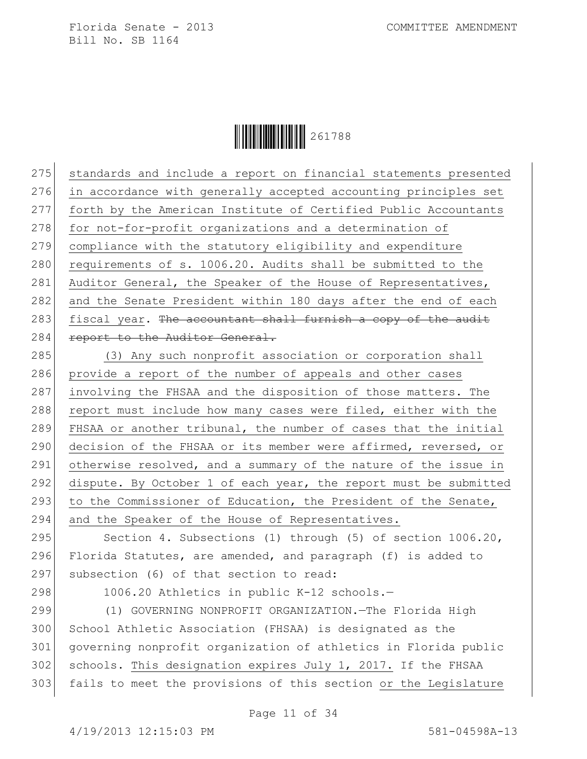

275 standards and include a report on financial statements presented 276 in accordance with generally accepted accounting principles set 277 forth by the American Institute of Certified Public Accountants 278 for not-for-profit organizations and a determination of 279 compliance with the statutory eligibility and expenditure 280 requirements of s. 1006.20. Audits shall be submitted to the 281 Auditor General, the Speaker of the House of Representatives, 282 and the Senate President within 180 days after the end of each 283 fiscal year. The accountant shall furnish a copy of the audit 284 report to the Auditor General.

285 (3) Any such nonprofit association or corporation shall 286 provide a report of the number of appeals and other cases 287 involving the FHSAA and the disposition of those matters. The 288 report must include how many cases were filed, either with the 289 FHSAA or another tribunal, the number of cases that the initial 290 decision of the FHSAA or its member were affirmed, reversed, or 291 otherwise resolved, and a summary of the nature of the issue in 292 dispute. By October 1 of each year, the report must be submitted 293 to the Commissioner of Education, the President of the Senate, 294 and the Speaker of the House of Representatives.

295 Section 4. Subsections (1) through (5) of section 1006.20, 296 Florida Statutes, are amended, and paragraph (f) is added to 297 subsection (6) of that section to read:

298 1006.20 Athletics in public K-12 schools.-

 (1) GOVERNING NONPROFIT ORGANIZATION.—The Florida High School Athletic Association (FHSAA) is designated as the governing nonprofit organization of athletics in Florida public schools. This designation expires July 1, 2017. If the FHSAA fails to meet the provisions of this section or the Legislature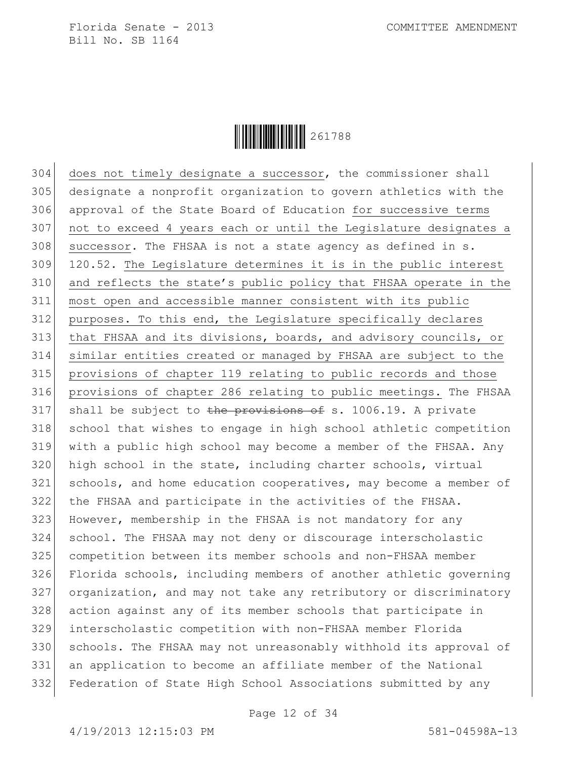

 does not timely designate a successor, the commissioner shall designate a nonprofit organization to govern athletics with the approval of the State Board of Education for successive terms not to exceed 4 years each or until the Legislature designates a successor. The FHSAA is not a state agency as defined in s. 120.52. The Legislature determines it is in the public interest and reflects the state's public policy that FHSAA operate in the most open and accessible manner consistent with its public purposes. To this end, the Legislature specifically declares that FHSAA and its divisions, boards, and advisory councils, or similar entities created or managed by FHSAA are subject to the provisions of chapter 119 relating to public records and those provisions of chapter 286 relating to public meetings. The FHSAA 317 shall be subject to the provisions of s. 1006.19. A private 318 school that wishes to engage in high school athletic competition with a public high school may become a member of the FHSAA. Any high school in the state, including charter schools, virtual schools, and home education cooperatives, may become a member of the FHSAA and participate in the activities of the FHSAA. However, membership in the FHSAA is not mandatory for any school. The FHSAA may not deny or discourage interscholastic competition between its member schools and non-FHSAA member Florida schools, including members of another athletic governing organization, and may not take any retributory or discriminatory action against any of its member schools that participate in interscholastic competition with non-FHSAA member Florida schools. The FHSAA may not unreasonably withhold its approval of an application to become an affiliate member of the National Federation of State High School Associations submitted by any

Page 12 of 34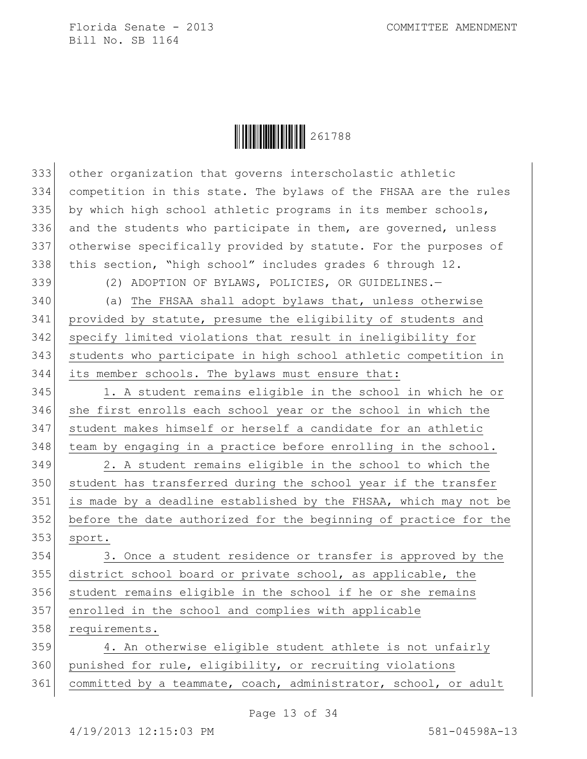$\begin{array}{|c|c|c|c|c|}\hline \multicolumn{1}{|}{\textbf{1}} & \multicolumn{1}{|}{\textbf{2}} & \multicolumn{1}{|}{\textbf{2}} & \multicolumn{1}{|}{\textbf{2}} & \multicolumn{1}{|}{\textbf{2}} & \multicolumn{1}{|}{\textbf{2}} & \multicolumn{1}{|}{\textbf{2}} & \multicolumn{1}{|}{\textbf{2}} & \multicolumn{1}{|}{\textbf{2}} & \multicolumn{1}{|}{\textbf{2}} & \multicolumn{1}{|}{\textbf{2}} & \multicolumn{1}{|}{\textbf{2}} & \multicolumn{1}{|}{$ 

| 333 | other organization that governs interscholastic athletic         |
|-----|------------------------------------------------------------------|
| 334 | competition in this state. The bylaws of the FHSAA are the rules |
| 335 | by which high school athletic programs in its member schools,    |
| 336 | and the students who participate in them, are governed, unless   |
| 337 | otherwise specifically provided by statute. For the purposes of  |
| 338 | this section, "high school" includes grades 6 through 12.        |
| 339 | (2) ADOPTION OF BYLAWS, POLICIES, OR GUIDELINES.-                |
| 340 | (a) The FHSAA shall adopt bylaws that, unless otherwise          |
| 341 | provided by statute, presume the eligibility of students and     |
| 342 | specify limited violations that result in ineligibility for      |
| 343 | students who participate in high school athletic competition in  |
| 344 | its member schools. The bylaws must ensure that:                 |
| 345 | 1. A student remains eligible in the school in which he or       |
| 346 | she first enrolls each school year or the school in which the    |
| 347 | student makes himself or herself a candidate for an athletic     |
| 348 | team by engaging in a practice before enrolling in the school.   |
| 349 | 2. A student remains eligible in the school to which the         |
| 350 | student has transferred during the school year if the transfer   |
| 351 | is made by a deadline established by the FHSAA, which may not be |
| 352 | before the date authorized for the beginning of practice for the |
| 353 | sport.                                                           |
| 354 | 3. Once a student residence or transfer is approved by the       |
| 355 | district school board or private school, as applicable, the      |
| 356 | student remains eligible in the school if he or she remains      |
| 357 | enrolled in the school and complies with applicable              |
| 358 | requirements.                                                    |
| 359 | 4. An otherwise eligible student athlete is not unfairly         |
| 360 | punished for rule, eligibility, or recruiting violations         |
| 361 | committed by a teammate, coach, administrator, school, or adult  |
|     |                                                                  |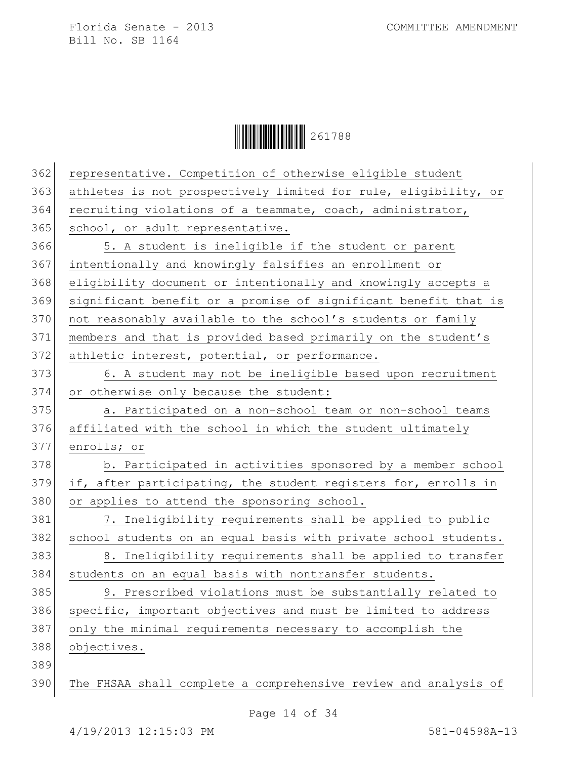$\begin{array}{|c|c|c|c|c|}\hline \multicolumn{1}{|}{\textbf{1}} & \multicolumn{1}{|}{\textbf{2}} & \multicolumn{1}{|}{\textbf{2}} & \multicolumn{1}{|}{\textbf{2}} & \multicolumn{1}{|}{\textbf{2}} & \multicolumn{1}{|}{\textbf{2}} & \multicolumn{1}{|}{\textbf{2}} & \multicolumn{1}{|}{\textbf{2}} & \multicolumn{1}{|}{\textbf{2}} & \multicolumn{1}{|}{\textbf{2}} & \multicolumn{1}{|}{\textbf{2}} & \multicolumn{1}{|}{\textbf{2}} & \multicolumn{1}{|}{$ 

| 362 | representative. Competition of otherwise eligible student       |
|-----|-----------------------------------------------------------------|
| 363 | athletes is not prospectively limited for rule, eligibility, or |
| 364 | recruiting violations of a teammate, coach, administrator,      |
| 365 | school, or adult representative.                                |
| 366 | 5. A student is ineligible if the student or parent             |
| 367 | intentionally and knowingly falsifies an enrollment or          |
| 368 | eligibility document or intentionally and knowingly accepts a   |
| 369 | significant benefit or a promise of significant benefit that is |
| 370 | not reasonably available to the school's students or family     |
| 371 | members and that is provided based primarily on the student's   |
| 372 | athletic interest, potential, or performance.                   |
| 373 | 6. A student may not be ineligible based upon recruitment       |
| 374 | or otherwise only because the student:                          |
| 375 | a. Participated on a non-school team or non-school teams        |
| 376 | affiliated with the school in which the student ultimately      |
| 377 | enrolls; or                                                     |
| 378 | b. Participated in activities sponsored by a member school      |
| 379 | if, after participating, the student registers for, enrolls in  |
| 380 | or applies to attend the sponsoring school.                     |
| 381 | 7. Ineligibility requirements shall be applied to public        |
| 382 | school students on an equal basis with private school students. |
| 383 | 8. Ineligibility requirements shall be applied to transfer      |
| 384 | students on an equal basis with nontransfer students.           |
| 385 | 9. Prescribed violations must be substantially related to       |
| 386 | specific, important objectives and must be limited to address   |
| 387 | only the minimal requirements necessary to accomplish the       |
| 388 | objectives.                                                     |
| 389 |                                                                 |
| 390 | The FHSAA shall complete a comprehensive review and analysis of |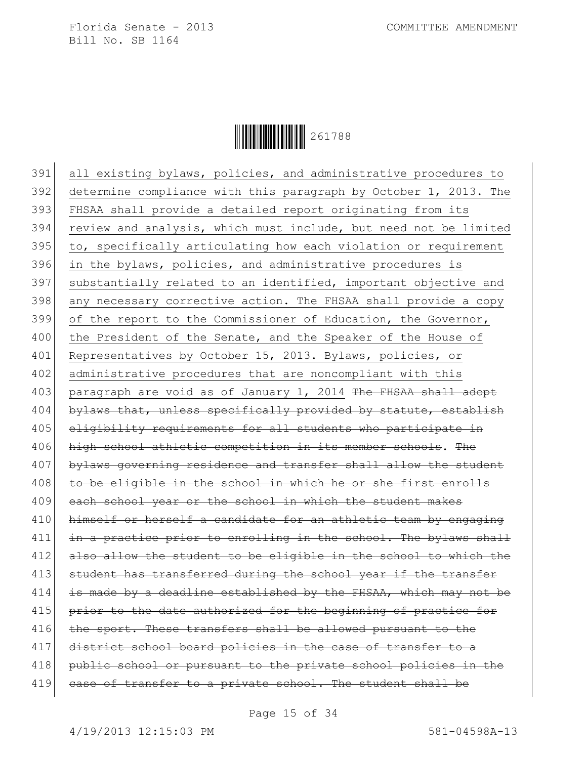

391 all existing bylaws, policies, and administrative procedures to 392 determine compliance with this paragraph by October 1, 2013. The 393 FHSAA shall provide a detailed report originating from its 394 review and analysis, which must include, but need not be limited 395 to, specifically articulating how each violation or requirement 396 in the bylaws, policies, and administrative procedures is 397 substantially related to an identified, important objective and 398 any necessary corrective action. The FHSAA shall provide a copy 399 of the report to the Commissioner of Education, the Governor, 400 the President of the Senate, and the Speaker of the House of 401 Representatives by October 15, 2013. Bylaws, policies, or 402 administrative procedures that are noncompliant with this 403 paragraph are void as of January 1, 2014 The FHSAA shall adopt  $404$  bylaws that, unless specifically provided by statute, establish 405 eligibility requirements for all students who participate in 406 high school athletic competition in its member schools. The 407 bylaws governing residence and transfer shall allow the student 408 to be eligible in the school in which he or she first enrolls 409 each school year or the school in which the student makes 410 himself or herself a candidate for an athletic team by engaging 411 in a practice prior to enrolling in the school. The bylaws shall 412 also allow the student to be eligible in the school to which the 413 student has transferred during the school year if the transfer  $414$  is made by a deadline established by the FHSAA, which may not be 415 prior to the date authorized for the beginning of practice for 416 the sport. These transfers shall be allowed pursuant to the 417 district school board policies in the case of transfer to a 418 public school or pursuant to the private school policies in the 419 case of transfer to a private school. The student shall be

Page 15 of 34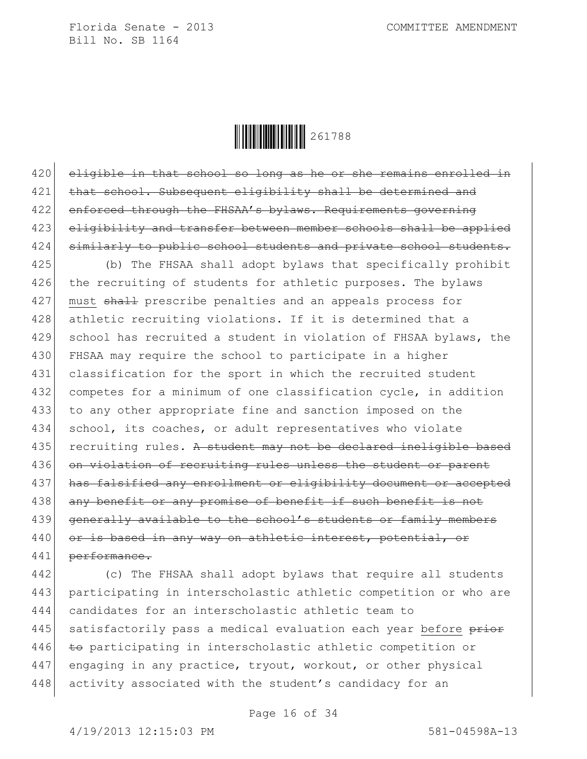

420 eligible in that school so long as he or she remains enrolled in 421 that school. Subsequent eligibility shall be determined and 422 enforced through the FHSAA's bylaws. Requirements governing 423 eligibility and transfer between member schools shall be applied 424 similarly to public school students and private school students.

425 (b) The FHSAA shall adopt bylaws that specifically prohibit 426 the recruiting of students for athletic purposes. The bylaws 427 must shall prescribe penalties and an appeals process for 428 athletic recruiting violations. If it is determined that a 429 school has recruited a student in violation of FHSAA bylaws, the 430 FHSAA may require the school to participate in a higher 431 classification for the sport in which the recruited student 432 competes for a minimum of one classification cycle, in addition 433 to any other appropriate fine and sanction imposed on the 434 school, its coaches, or adult representatives who violate 435 recruiting rules. A student may not be declared ineligible based 436 on violation of recruiting rules unless the student or parent 437 has falsified any enrollment or eligibility document or accepted 438 any benefit or any promise of benefit if such benefit is not 439 generally available to the school's students or family members 440 or is based in any way on athletic interest, potential, or 441 performance.

442 (c) The FHSAA shall adopt bylaws that require all students 443 participating in interscholastic athletic competition or who are 444 candidates for an interscholastic athletic team to 445 satisfactorily pass a medical evaluation each year before prior 446 to participating in interscholastic athletic competition or 447 engaging in any practice, tryout, workout, or other physical 448 activity associated with the student's candidacy for an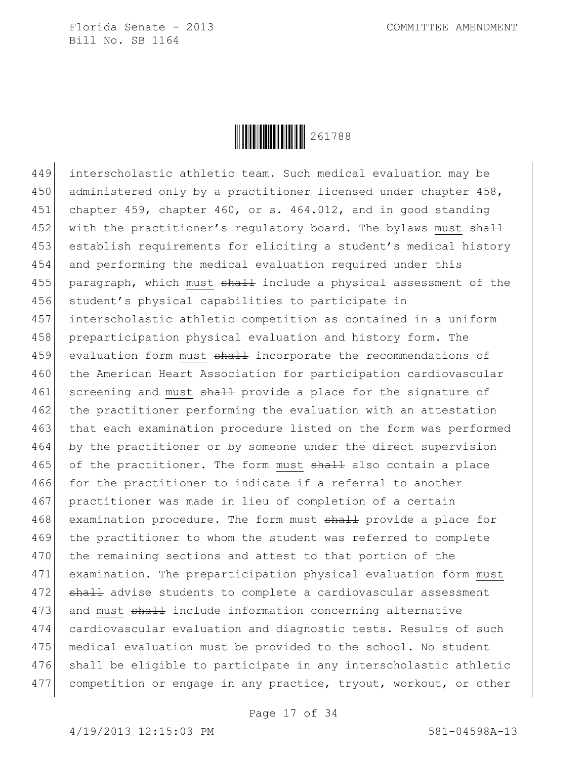

449 interscholastic athletic team. Such medical evaluation may be 450 | administered only by a practitioner licensed under chapter 458, 451 chapter 459, chapter 460, or s. 464.012, and in good standing 452 with the practitioner's requlatory board. The bylaws must shall 453 establish requirements for eliciting a student's medical history 454 and performing the medical evaluation required under this 455 paragraph, which must shall include a physical assessment of the 456 student's physical capabilities to participate in 457 interscholastic athletic competition as contained in a uniform 458 preparticipation physical evaluation and history form. The 459 evaluation form must shall incorporate the recommendations of 460 the American Heart Association for participation cardiovascular 461 screening and must shall provide a place for the signature of 462 the practitioner performing the evaluation with an attestation 463 that each examination procedure listed on the form was performed 464 by the practitioner or by someone under the direct supervision 465 of the practitioner. The form must shall also contain a place 466 for the practitioner to indicate if a referral to another 467 practitioner was made in lieu of completion of a certain 468 examination procedure. The form must shall provide a place for 469 the practitioner to whom the student was referred to complete 470 the remaining sections and attest to that portion of the 471 examination. The preparticipation physical evaluation form must 472 shall advise students to complete a cardiovascular assessment 473 and must shall include information concerning alternative 474 cardiovascular evaluation and diagnostic tests. Results of such 475 medical evaluation must be provided to the school. No student 476 shall be eligible to participate in any interscholastic athletic 477 competition or engage in any practice, tryout, workout, or other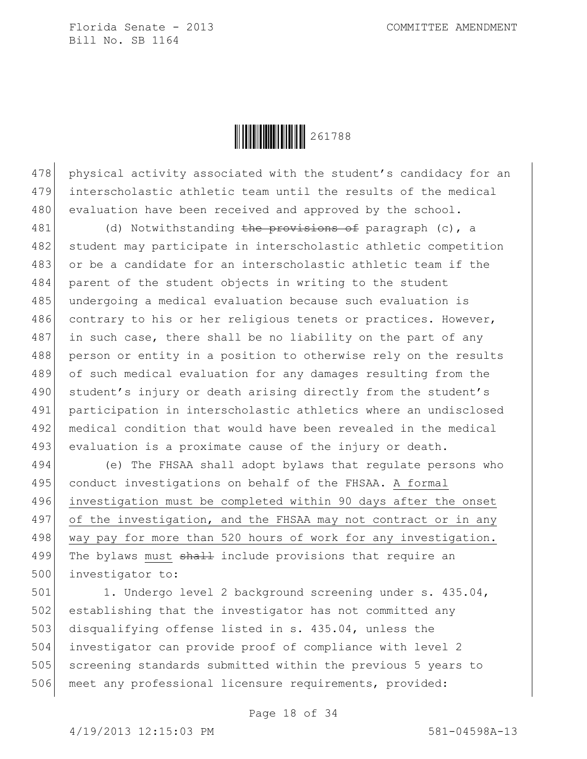

478 physical activity associated with the student's candidacy for an 479 interscholastic athletic team until the results of the medical 480 evaluation have been received and approved by the school.

481 (d) Notwithstanding the provisions of paragraph (c), a 482 student may participate in interscholastic athletic competition 483 or be a candidate for an interscholastic athletic team if the 484 parent of the student objects in writing to the student 485 undergoing a medical evaluation because such evaluation is 486 contrary to his or her religious tenets or practices. However,  $487$  in such case, there shall be no liability on the part of any 488 person or entity in a position to otherwise rely on the results 489 of such medical evaluation for any damages resulting from the 490 student's injury or death arising directly from the student's 491 participation in interscholastic athletics where an undisclosed 492 medical condition that would have been revealed in the medical 493 evaluation is a proximate cause of the injury or death.

494 (e) The FHSAA shall adopt bylaws that regulate persons who 495 conduct investigations on behalf of the FHSAA. A formal 496 investigation must be completed within 90 days after the onset 497 of the investigation, and the FHSAA may not contract or in any 498 way pay for more than 520 hours of work for any investigation. 499 The bylaws must shall include provisions that require an 500 investigator to:

501 1. Undergo level 2 background screening under s. 435.04, 502 establishing that the investigator has not committed any 503 disqualifying offense listed in s. 435.04, unless the 504 investigator can provide proof of compliance with level 2 505 screening standards submitted within the previous 5 years to 506 meet any professional licensure requirements, provided:

Page 18 of 34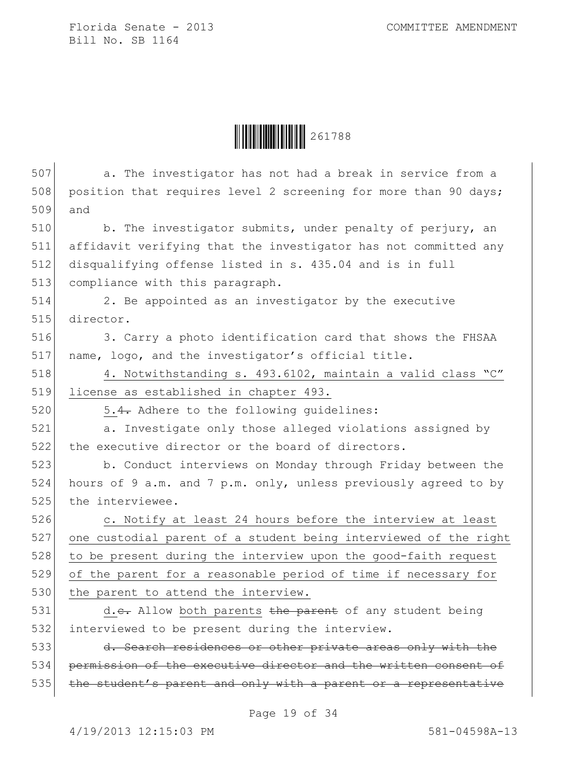$\begin{array}{|c|c|c|c|c|}\hline \multicolumn{1}{|}{\textbf{1}} & \multicolumn{1}{|}{\textbf{2}} & \multicolumn{1}{|}{\textbf{2}} & \multicolumn{1}{|}{\textbf{2}} & \multicolumn{1}{|}{\textbf{2}} & \multicolumn{1}{|}{\textbf{2}} & \multicolumn{1}{|}{\textbf{2}} & \multicolumn{1}{|}{\textbf{2}} & \multicolumn{1}{|}{\textbf{2}} & \multicolumn{1}{|}{\textbf{2}} & \multicolumn{1}{|}{\textbf{2}} & \multicolumn{1}{|}{\textbf{2}} & \multicolumn{1}{|}{$ 

| 507 | a. The investigator has not had a break in service from a        |
|-----|------------------------------------------------------------------|
| 508 | position that requires level 2 screening for more than 90 days;  |
| 509 | and                                                              |
| 510 | b. The investigator submits, under penalty of perjury, an        |
| 511 | affidavit verifying that the investigator has not committed any  |
| 512 | disqualifying offense listed in s. 435.04 and is in full         |
| 513 | compliance with this paragraph.                                  |
| 514 | 2. Be appointed as an investigator by the executive              |
| 515 | director.                                                        |
| 516 | 3. Carry a photo identification card that shows the FHSAA        |
| 517 | name, logo, and the investigator's official title.               |
| 518 | 4. Notwithstanding s. 493.6102, maintain a valid class "C"       |
| 519 | license as established in chapter 493.                           |
| 520 | 5.4. Adhere to the following quidelines:                         |
| 521 | a. Investigate only those alleged violations assigned by         |
| 522 | the executive director or the board of directors.                |
| 523 | b. Conduct interviews on Monday through Friday between the       |
| 524 | hours of 9 a.m. and 7 p.m. only, unless previously agreed to by  |
| 525 | the interviewee.                                                 |
| 526 | c. Notify at least 24 hours before the interview at least        |
| 527 | one custodial parent of a student being interviewed of the right |
| 528 | to be present during the interview upon the good-faith request   |
| 529 | of the parent for a reasonable period of time if necessary for   |
| 530 | the parent to attend the interview.                              |
| 531 | d.e. Allow both parents the parent of any student being          |
| 532 | interviewed to be present during the interview.                  |
| 533 | d. Search residences or other private areas only with the        |
| 534 | permission of the executive director and the written consent of  |
| 535 | the student's parent and only with a parent or a representative  |
|     |                                                                  |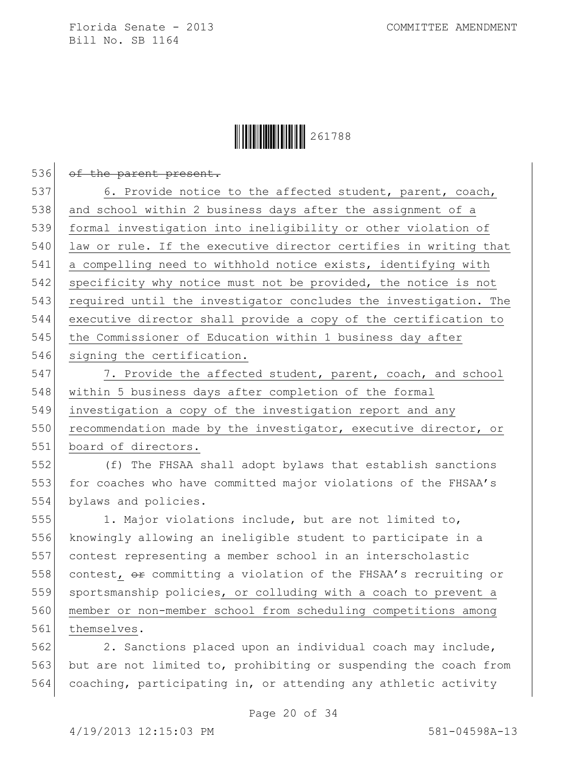

| 536 | of the parent present.                                                |
|-----|-----------------------------------------------------------------------|
| 537 | 6. Provide notice to the affected student, parent, coach,             |
| 538 | and school within 2 business days after the assignment of a           |
| 539 | formal investigation into ineligibility or other violation of         |
| 540 | law or rule. If the executive director certifies in writing that      |
| 541 | a compelling need to withhold notice exists, identifying with         |
| 542 | specificity why notice must not be provided, the notice is not        |
| 543 | required until the investigator concludes the investigation. The      |
| 544 | executive director shall provide a copy of the certification to       |
| 545 | the Commissioner of Education within 1 business day after             |
| 546 | signing the certification.                                            |
| 547 | 7. Provide the affected student, parent, coach, and school            |
| 548 | within 5 business days after completion of the formal                 |
| 549 | investigation a copy of the investigation report and any              |
| 550 | recommendation made by the investigator, executive director, or       |
| 551 | board of directors.                                                   |
| 552 | (f) The FHSAA shall adopt bylaws that establish sanctions             |
| 553 | for coaches who have committed major violations of the FHSAA's        |
| 554 | bylaws and policies.                                                  |
| 555 | 1. Major violations include, but are not limited to,                  |
| 556 | knowingly allowing an ineligible student to participate in a          |
| 557 | contest representing a member school in an interscholastic            |
| 558 | contest, $\theta$ committing a violation of the FHSAA's recruiting or |
| 559 | sportsmanship policies, or colluding with a coach to prevent a        |
| 560 | member or non-member school from scheduling competitions among        |
| 561 | themselves.                                                           |
| 562 | 2. Sanctions placed upon an individual coach may include,             |
| 563 | but are not limited to, prohibiting or suspending the coach from      |
| 564 | coaching, participating in, or attending any athletic activity        |

Page 20 of 34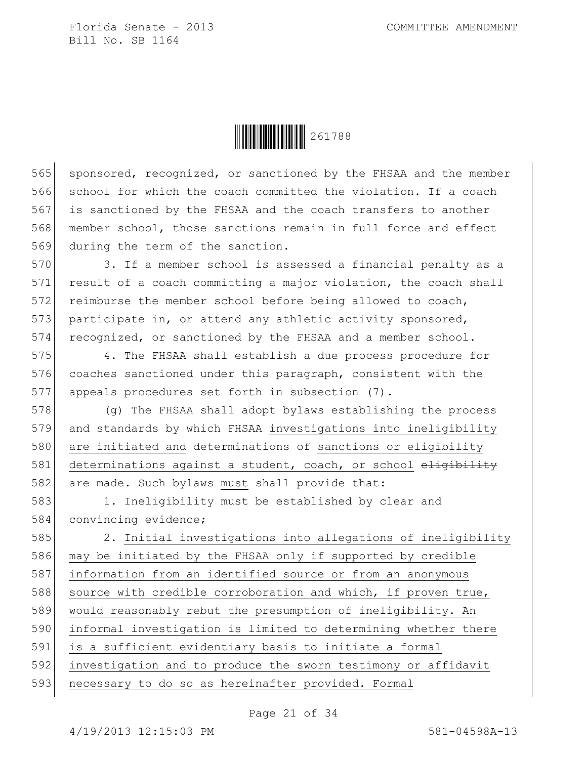

565 sponsored, recognized, or sanctioned by the FHSAA and the member school for which the coach committed the violation. If a coach is sanctioned by the FHSAA and the coach transfers to another member school, those sanctions remain in full force and effect during the term of the sanction.

570 3. If a member school is assessed a financial penalty as a 571 result of a coach committing a major violation, the coach shall 572 reimburse the member school before being allowed to coach, 573 participate in, or attend any athletic activity sponsored, 574 recognized, or sanctioned by the FHSAA and a member school.

575 4. The FHSAA shall establish a due process procedure for 576 coaches sanctioned under this paragraph, consistent with the 577 appeals procedures set forth in subsection (7).

578 (g) The FHSAA shall adopt bylaws establishing the process 579 and standards by which FHSAA investigations into ineligibility 580 are initiated and determinations of sanctions or eligibility 581 determinations against a student, coach, or school eligibility 582 are made. Such bylaws must shall provide that:

583 1. Ineligibility must be established by clear and 584 convincing evidence;

585 2. Initial investigations into allegations of ineligibility may be initiated by the FHSAA only if supported by credible information from an identified source or from an anonymous 588 source with credible corroboration and which, if proven true, 589 would reasonably rebut the presumption of ineligibility. An informal investigation is limited to determining whether there is a sufficient evidentiary basis to initiate a formal investigation and to produce the sworn testimony or affidavit necessary to do so as hereinafter provided. Formal

Page 21 of 34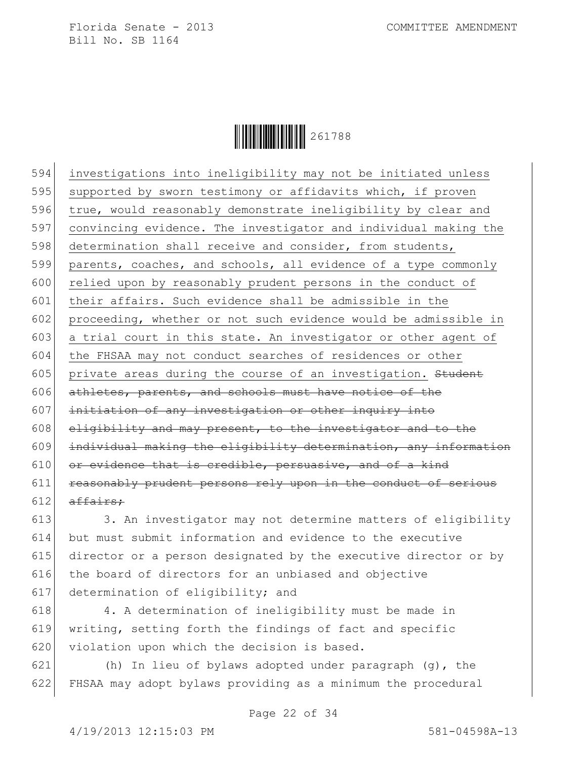

594 investigations into ineligibility may not be initiated unless 595 supported by sworn testimony or affidavits which, if proven 596 true, would reasonably demonstrate ineligibility by clear and 597 convincing evidence. The investigator and individual making the 598 determination shall receive and consider, from students, 599 parents, coaches, and schools, all evidence of a type commonly 600 relied upon by reasonably prudent persons in the conduct of 601 their affairs. Such evidence shall be admissible in the 602 proceeding, whether or not such evidence would be admissible in 603 a trial court in this state. An investigator or other agent of 604 the FHSAA may not conduct searches of residences or other  $605$  private areas during the course of an investigation. Student 606 athletes, parents, and schools must have notice of the 607 initiation of any investigation or other inquiry into  $608$  eligibility and may present, to the investigator and to the 609 individual making the eligibility determination, any information  $610$  or evidence that is credible, persuasive, and of a kind 611 reasonably prudent persons rely upon in the conduct of serious 612  $\sigma$  affairs:

613 3. An investigator may not determine matters of eligibility 614 but must submit information and evidence to the executive 615 director or a person designated by the executive director or by 616 the board of directors for an unbiased and objective 617 determination of eligibility; and

618 4. A determination of ineligibility must be made in 619 writing, setting forth the findings of fact and specific 620 violation upon which the decision is based.

621 (h) In lieu of bylaws adopted under paragraph  $(g)$ , the 622 FHSAA may adopt bylaws providing as a minimum the procedural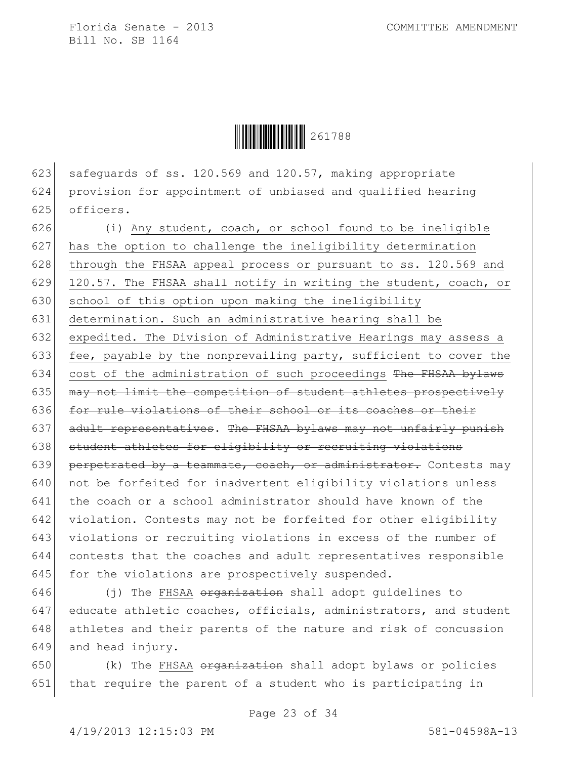Ì261788ZÎ261788

623 safequards of ss. 120.569 and 120.57, making appropriate 624 provision for appointment of unbiased and qualified hearing 625 officers.

 $626$  (i) Any student, coach, or school found to be ineligible 627 has the option to challenge the ineligibility determination 628 through the FHSAA appeal process or pursuant to ss. 120.569 and 629 120.57. The FHSAA shall notify in writing the student, coach, or 630 school of this option upon making the ineligibility 631 determination. Such an administrative hearing shall be 632 expedited. The Division of Administrative Hearings may assess a 633 fee, payable by the nonprevailing party, sufficient to cover the 634 cost of the administration of such proceedings The FHSAA bylaws 635 may not limit the competition of student athletes prospectively 636 for rule violations of their school or its coaches or their 637 adult representatives. The FHSAA bylaws may not unfairly punish 638 student athletes for eligibility or recruiting violations 639 perpetrated by a teammate, coach, or administrator. Contests may 640 not be forfeited for inadvertent eligibility violations unless 641 the coach or a school administrator should have known of the 642 violation. Contests may not be forfeited for other eligibility 643 violations or recruiting violations in excess of the number of 644 contests that the coaches and adult representatives responsible 645 for the violations are prospectively suspended.

646  $(j)$  The FHSAA organization shall adopt quidelines to 647 educate athletic coaches, officials, administrators, and student 648 athletes and their parents of the nature and risk of concussion 649 and head injury.

650  $(k)$  The FHSAA organization shall adopt bylaws or policies 651 that require the parent of a student who is participating in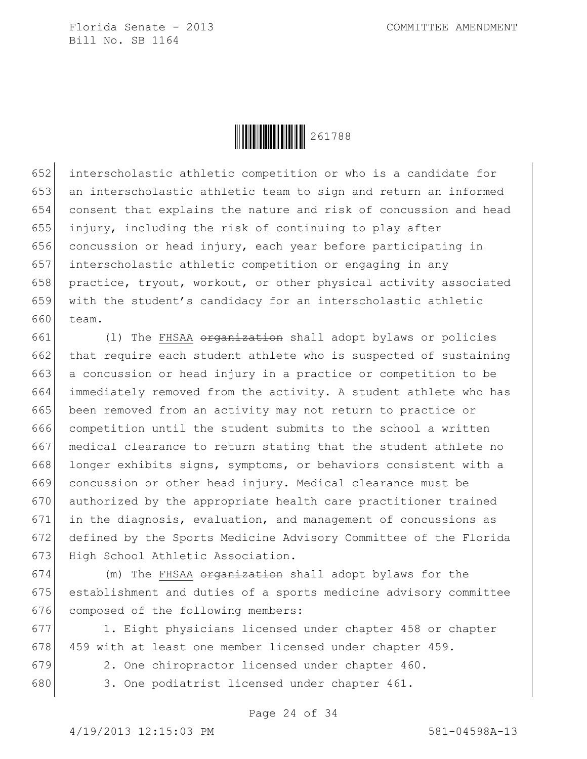

 interscholastic athletic competition or who is a candidate for an interscholastic athletic team to sign and return an informed consent that explains the nature and risk of concussion and head injury, including the risk of continuing to play after concussion or head injury, each year before participating in interscholastic athletic competition or engaging in any practice, tryout, workout, or other physical activity associated with the student's candidacy for an interscholastic athletic 660 team.

 $(1)$  The FHSAA <del>organization</del> shall adopt bylaws or policies 662 that require each student athlete who is suspected of sustaining 663 a concussion or head injury in a practice or competition to be immediately removed from the activity. A student athlete who has 665 been removed from an activity may not return to practice or competition until the student submits to the school a written medical clearance to return stating that the student athlete no 668 longer exhibits signs, symptoms, or behaviors consistent with a concussion or other head injury. Medical clearance must be authorized by the appropriate health care practitioner trained in the diagnosis, evaluation, and management of concussions as defined by the Sports Medicine Advisory Committee of the Florida 673 High School Athletic Association.

674 (m) The FHSAA organization shall adopt bylaws for the 675 establishment and duties of a sports medicine advisory committee 676 composed of the following members:

677 1. Eight physicians licensed under chapter 458 or chapter 678 459 with at least one member licensed under chapter 459.

679 2. One chiropractor licensed under chapter 460.

680 3. One podiatrist licensed under chapter 461.

Page 24 of 34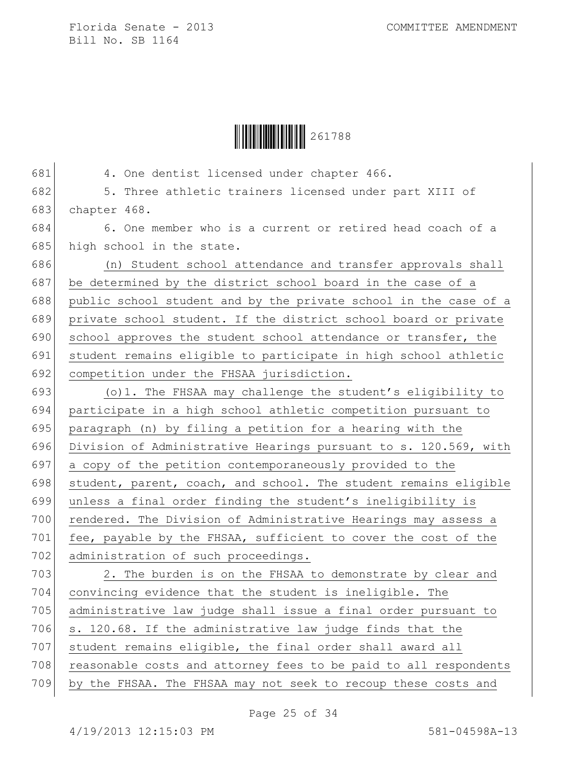

| 681 | 4. One dentist licensed under chapter 466.                       |
|-----|------------------------------------------------------------------|
| 682 | 5. Three athletic trainers licensed under part XIII of           |
| 683 | chapter 468.                                                     |
| 684 | 6. One member who is a current or retired head coach of a        |
| 685 | high school in the state.                                        |
| 686 | (n) Student school attendance and transfer approvals shall       |
| 687 | be determined by the district school board in the case of a      |
| 688 | public school student and by the private school in the case of a |
| 689 | private school student. If the district school board or private  |
| 690 | school approves the student school attendance or transfer, the   |
| 691 | student remains eligible to participate in high school athletic  |
| 692 | competition under the FHSAA jurisdiction.                        |
| 693 | (o) 1. The FHSAA may challenge the student's eligibility to      |
| 694 | participate in a high school athletic competition pursuant to    |
| 695 | paragraph (n) by filing a petition for a hearing with the        |
| 696 | Division of Administrative Hearings pursuant to s. 120.569, with |
| 697 | a copy of the petition contemporaneously provided to the         |
| 698 | student, parent, coach, and school. The student remains eligible |
| 699 | unless a final order finding the student's ineligibility is      |
| 700 | rendered. The Division of Administrative Hearings may assess a   |
| 701 | fee, payable by the FHSAA, sufficient to cover the cost of the   |
| 702 | administration of such proceedings.                              |
| 703 | 2. The burden is on the FHSAA to demonstrate by clear and        |
| 704 | convincing evidence that the student is ineligible. The          |
| 705 | administrative law judge shall issue a final order pursuant to   |
| 706 | s. 120.68. If the administrative law judge finds that the        |
| 707 | student remains eligible, the final order shall award all        |
| 708 | reasonable costs and attorney fees to be paid to all respondents |
| 709 | by the FHSAA. The FHSAA may not seek to recoup these costs and   |
|     |                                                                  |

Page 25 of 34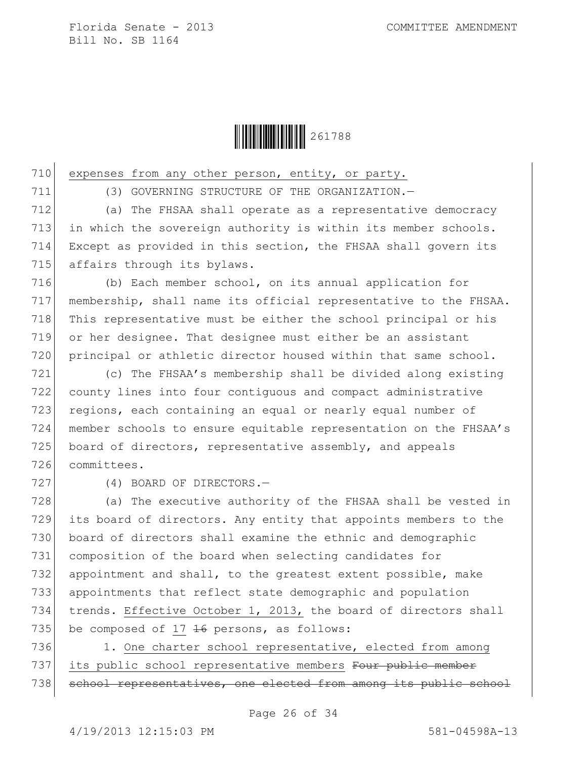

710 expenses from any other person, entity, or party.

711 (3) GOVERNING STRUCTURE OF THE ORGANIZATION.—

712 (a) The FHSAA shall operate as a representative democracy 713 in which the sovereign authority is within its member schools. 714 Except as provided in this section, the FHSAA shall govern its 715 affairs through its bylaws.

 (b) Each member school, on its annual application for membership, shall name its official representative to the FHSAA. 718 This representative must be either the school principal or his or her designee. That designee must either be an assistant principal or athletic director housed within that same school.

 (c) The FHSAA's membership shall be divided along existing county lines into four contiguous and compact administrative 723 regions, each containing an equal or nearly equal number of member schools to ensure equitable representation on the FHSAA's 725 board of directors, representative assembly, and appeals committees.

727 (4) BOARD OF DIRECTORS.

 (a) The executive authority of the FHSAA shall be vested in its board of directors. Any entity that appoints members to the 730 board of directors shall examine the ethnic and demographic composition of the board when selecting candidates for 732 appointment and shall, to the greatest extent possible, make appointments that reflect state demographic and population trends. Effective October 1, 2013, the board of directors shall 735 be composed of 17  $\frac{16}{16}$  persons, as follows:

736 1. One charter school representative, elected from among 737 its public school representative members Four public member 738 school representatives, one elected from among its public school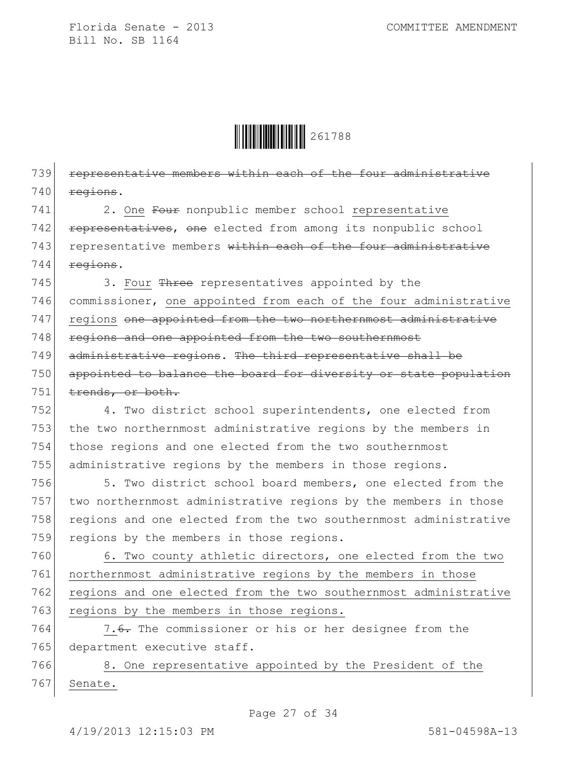

739 representative members within each of the four administrative  $740$  regions.

741 2. One Four nonpublic member school representative 742 representatives, one elected from among its nonpublic school 743 representative members within each of the four administrative  $744$  regions.

 $745$  3. Four Three representatives appointed by the 746 commissioner, one appointed from each of the four administrative 747 regions one appointed from the two northernmost administrative 748 regions and one appointed from the two southernmost 749 administrative regions. The third representative shall be 750 appointed to balance the board for diversity or state population  $751$  trends, or both.

752 4. Two district school superintendents, one elected from 753 the two northernmost administrative regions by the members in 754 those regions and one elected from the two southernmost 755 administrative regions by the members in those regions.

756 5. Two district school board members, one elected from the 757 two northernmost administrative regions by the members in those 758 regions and one elected from the two southernmost administrative 759 regions by the members in those regions.

760 6. Two county athletic directors, one elected from the two 761 northernmost administrative regions by the members in those 762 regions and one elected from the two southernmost administrative 763 regions by the members in those regions.

764 7.6. The commissioner or his or her designee from the 765 department executive staff.

766 8. One representative appointed by the President of the 767 Senate.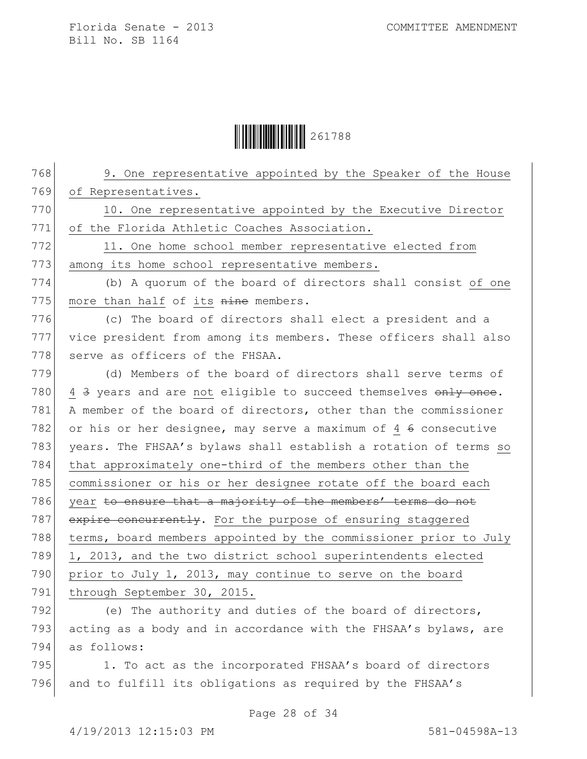$\begin{array}{|c|c|c|c|c|}\hline \multicolumn{1}{|}{\textbf{1}} & \multicolumn{1}{|}{\textbf{2}} & \multicolumn{1}{|}{\textbf{2}} & \multicolumn{1}{|}{\textbf{2}} & \multicolumn{1}{|}{\textbf{2}} & \multicolumn{1}{|}{\textbf{2}} & \multicolumn{1}{|}{\textbf{2}} & \multicolumn{1}{|}{\textbf{2}} & \multicolumn{1}{|}{\textbf{2}} & \multicolumn{1}{|}{\textbf{2}} & \multicolumn{1}{|}{\textbf{2}} & \multicolumn{1}{|}{\textbf{2}} & \multicolumn{1}{|}{$ 

| 768 | 9. One representative appointed by the Speaker of the House      |
|-----|------------------------------------------------------------------|
| 769 | of Representatives.                                              |
| 770 | 10. One representative appointed by the Executive Director       |
| 771 | of the Florida Athletic Coaches Association.                     |
| 772 | 11. One home school member representative elected from           |
| 773 | among its home school representative members.                    |
| 774 | (b) A quorum of the board of directors shall consist of one      |
| 775 | more than half of its nine members.                              |
| 776 | (c) The board of directors shall elect a president and a         |
| 777 | vice president from among its members. These officers shall also |
| 778 | serve as officers of the FHSAA.                                  |
| 779 | (d) Members of the board of directors shall serve terms of       |
| 780 | 4 3 years and are not eligible to succeed themselves only once.  |
| 781 | A member of the board of directors, other than the commissioner  |
| 782 | or his or her designee, may serve a maximum of 4 6 consecutive   |
| 783 | years. The FHSAA's bylaws shall establish a rotation of terms so |
| 784 | that approximately one-third of the members other than the       |
| 785 | commissioner or his or her designee rotate off the board each    |
| 786 | year to ensure that a majority of the members' terms do not      |
| 787 | expire concurrently. For the purpose of ensuring staggered       |
| 788 | terms, board members appointed by the commissioner prior to July |
| 789 | 1, 2013, and the two district school superintendents elected     |
| 790 | prior to July 1, 2013, may continue to serve on the board        |
| 791 | through September 30, 2015.                                      |
| 792 | (e) The authority and duties of the board of directors,          |
| 793 | acting as a body and in accordance with the FHSAA's bylaws, are  |
| 794 | as follows:                                                      |
| 795 | 1. To act as the incorporated FHSAA's board of directors         |
| 796 | and to fulfill its obligations as required by the FHSAA's        |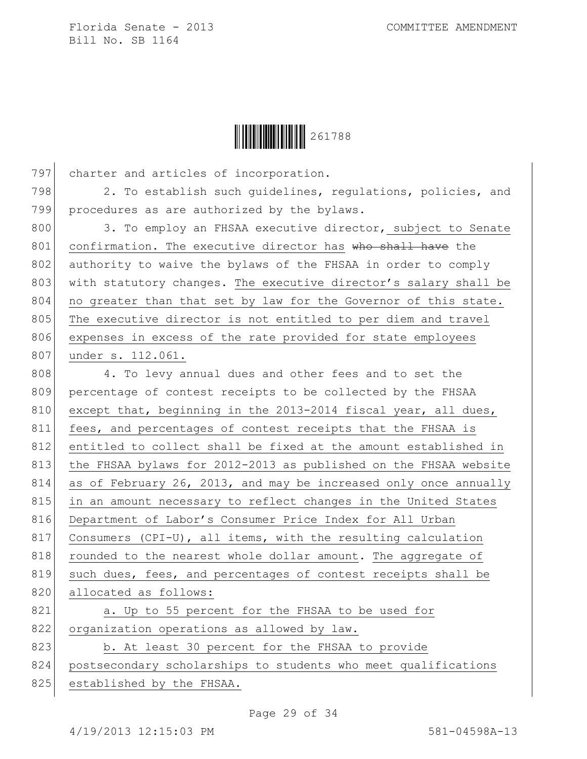

797 charter and articles of incorporation. 798 2. To establish such quidelines, requlations, policies, and 799 procedures as are authorized by the bylaws. 800 3. To employ an FHSAA executive director, subject to Senate 801 confirmation. The executive director has who shall have the 802 authority to waive the bylaws of the FHSAA in order to comply 803 with statutory changes. The executive director's salary shall be 804 no greater than that set by law for the Governor of this state. 805 The executive director is not entitled to per diem and travel 806 expenses in excess of the rate provided for state employees 807 under s. 112.061. 808 4. To levy annual dues and other fees and to set the 809 percentage of contest receipts to be collected by the FHSAA 810 except that, beginning in the 2013-2014 fiscal year, all dues, 811 fees, and percentages of contest receipts that the FHSAA is 812 entitled to collect shall be fixed at the amount established in 813 the FHSAA bylaws for 2012-2013 as published on the FHSAA website 814 as of February 26, 2013, and may be increased only once annually 815 in an amount necessary to reflect changes in the United States 816 Department of Labor's Consumer Price Index for All Urban 817 Consumers (CPI-U), all items, with the resulting calculation 818 rounded to the nearest whole dollar amount. The aggregate of 819 such dues, fees, and percentages of contest receipts shall be 820 allocated as follows: 821 a. Up to 55 percent for the FHSAA to be used for 822 organization operations as allowed by law.

823 b. At least 30 percent for the FHSAA to provide 824 postsecondary scholarships to students who meet qualifications 825 established by the FHSAA.

Page 29 of 34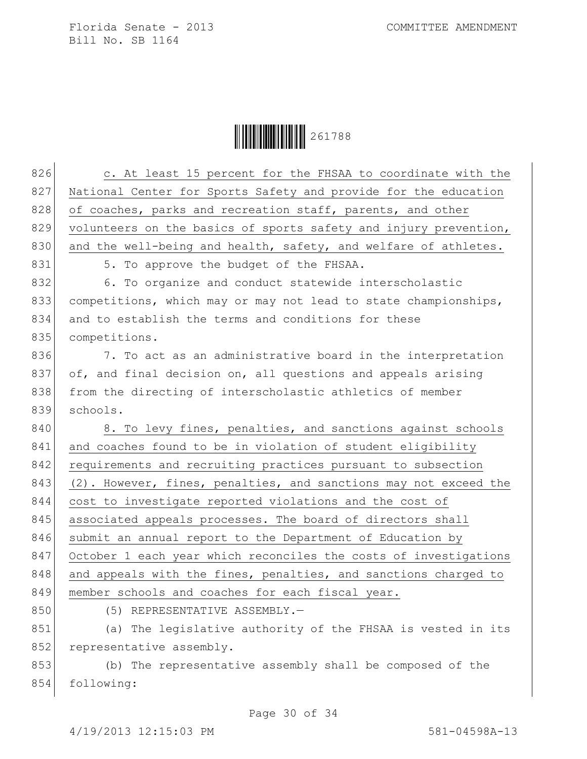$\begin{array}{|c|c|c|c|c|}\hline \multicolumn{1}{|}{\textbf{1}} & \multicolumn{1}{|}{\textbf{2}} & \multicolumn{1}{|}{\textbf{2}} & \multicolumn{1}{|}{\textbf{2}} & \multicolumn{1}{|}{\textbf{2}} & \multicolumn{1}{|}{\textbf{2}} & \multicolumn{1}{|}{\textbf{2}} & \multicolumn{1}{|}{\textbf{2}} & \multicolumn{1}{|}{\textbf{2}} & \multicolumn{1}{|}{\textbf{2}} & \multicolumn{1}{|}{\textbf{2}} & \multicolumn{1}{|}{\textbf{2}} & \multicolumn{1}{|}{$ 

| 826 | c. At least 15 percent for the FHSAA to coordinate with the      |
|-----|------------------------------------------------------------------|
| 827 | National Center for Sports Safety and provide for the education  |
| 828 | of coaches, parks and recreation staff, parents, and other       |
| 829 | volunteers on the basics of sports safety and injury prevention, |
| 830 | and the well-being and health, safety, and welfare of athletes.  |
| 831 | 5. To approve the budget of the FHSAA.                           |
| 832 | 6. To organize and conduct statewide interscholastic             |
| 833 | competitions, which may or may not lead to state championships,  |
| 834 | and to establish the terms and conditions for these              |
| 835 | competitions.                                                    |
| 836 | 7. To act as an administrative board in the interpretation       |
| 837 | of, and final decision on, all questions and appeals arising     |
| 838 | from the directing of interscholastic athletics of member        |
| 839 | schools.                                                         |
| 840 | 8. To levy fines, penalties, and sanctions against schools       |
| 841 | and coaches found to be in violation of student eligibility      |
| 842 | requirements and recruiting practices pursuant to subsection     |
| 843 | (2). However, fines, penalties, and sanctions may not exceed the |
| 844 | cost to investigate reported violations and the cost of          |
| 845 | associated appeals processes. The board of directors shall       |
| 846 | submit an annual report to the Department of Education by        |
| 847 | October 1 each year which reconciles the costs of investigations |
| 848 | and appeals with the fines, penalties, and sanctions charged to  |
| 849 | member schools and coaches for each fiscal year.                 |
| 850 | (5) REPRESENTATIVE ASSEMBLY.-                                    |
| 851 | (a) The legislative authority of the FHSAA is vested in its      |
| 852 | representative assembly.                                         |
| 853 | (b) The representative assembly shall be composed of the         |
| 854 | following:                                                       |

Page 30 of 34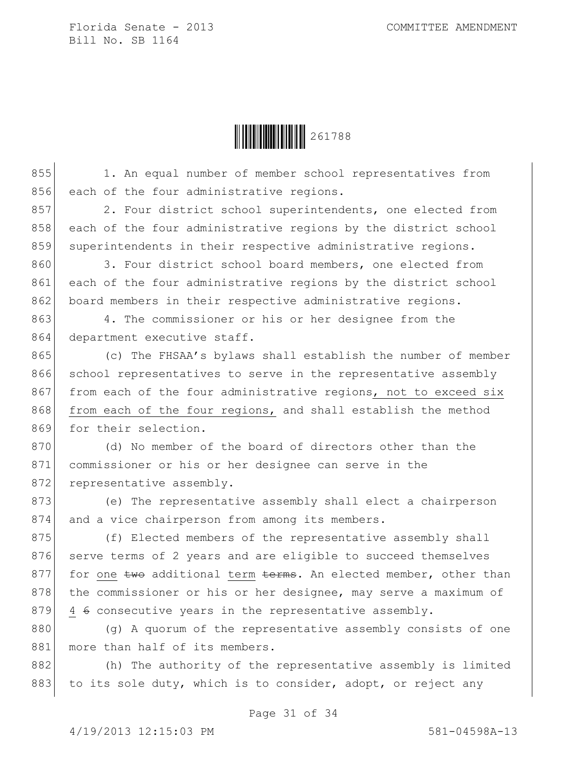Ì261788ZÎ261788

855 1. An equal number of member school representatives from 856 each of the four administrative regions.

857 2. Four district school superintendents, one elected from 858 each of the four administrative regions by the district school 859 superintendents in their respective administrative regions.

860 3. Four district school board members, one elected from 861 each of the four administrative regions by the district school 862 board members in their respective administrative regions.

863 4. The commissioner or his or her designee from the 864 department executive staff.

865 (c) The FHSAA's bylaws shall establish the number of member 866 school representatives to serve in the representative assembly 867 from each of the four administrative regions, not to exceed six 868 from each of the four regions, and shall establish the method 869 for their selection.

870 (d) No member of the board of directors other than the 871 commissioner or his or her designee can serve in the 872 representative assembly.

873 (e) The representative assembly shall elect a chairperson 874 and a vice chairperson from among its members.

875 (f) Elected members of the representative assembly shall 876 serve terms of 2 years and are eligible to succeed themselves 877 for one  $t_{w0}$  additional term  $t_{c}$  an elected member, other than 878 the commissioner or his or her designee, may serve a maximum of 879 4  $\div$  consecutive years in the representative assembly.

880 (g) A quorum of the representative assembly consists of one 881 more than half of its members.

882 (h) The authority of the representative assembly is limited 883 to its sole duty, which is to consider, adopt, or reject any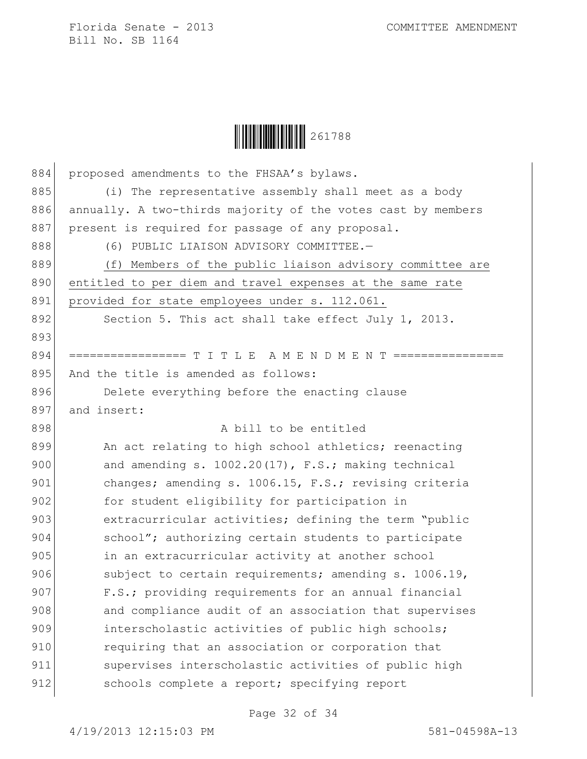

| 884 | proposed amendments to the FHSAA's bylaws.                   |
|-----|--------------------------------------------------------------|
| 885 | (i) The representative assembly shall meet as a body         |
| 886 | annually. A two-thirds majority of the votes cast by members |
| 887 | present is required for passage of any proposal.             |
| 888 | (6) PUBLIC LIAISON ADVISORY COMMITTEE.-                      |
| 889 | (f) Members of the public liaison advisory committee are     |
| 890 | entitled to per diem and travel expenses at the same rate    |
| 891 | provided for state employees under s. 112.061.               |
| 892 | Section 5. This act shall take effect July 1, 2013.          |
| 893 |                                                              |
| 894 | ============= T I T L E A M E N D M E N T                    |
| 895 | And the title is amended as follows:                         |
| 896 | Delete everything before the enacting clause                 |
| 897 | and insert:                                                  |
| 898 | A bill to be entitled                                        |
| 899 | An act relating to high school athletics; reenacting         |
| 900 | and amending s. 1002.20(17), F.S.; making technical          |
| 901 | changes; amending s. 1006.15, F.S.; revising criteria        |
| 902 | for student eligibility for participation in                 |
| 903 | extracurricular activities; defining the term "public        |
| 904 | school"; authorizing certain students to participate         |
| 905 | in an extracurricular activity at another school             |
| 906 | subject to certain requirements; amending s. 1006.19,        |
| 907 | F.S.; providing requirements for an annual financial         |
| 908 | and compliance audit of an association that supervises       |
| 909 | interscholastic activities of public high schools;           |
| 910 | requiring that an association or corporation that            |
| 911 | supervises interscholastic activities of public high         |
| 912 | schools complete a report; specifying report                 |
|     |                                                              |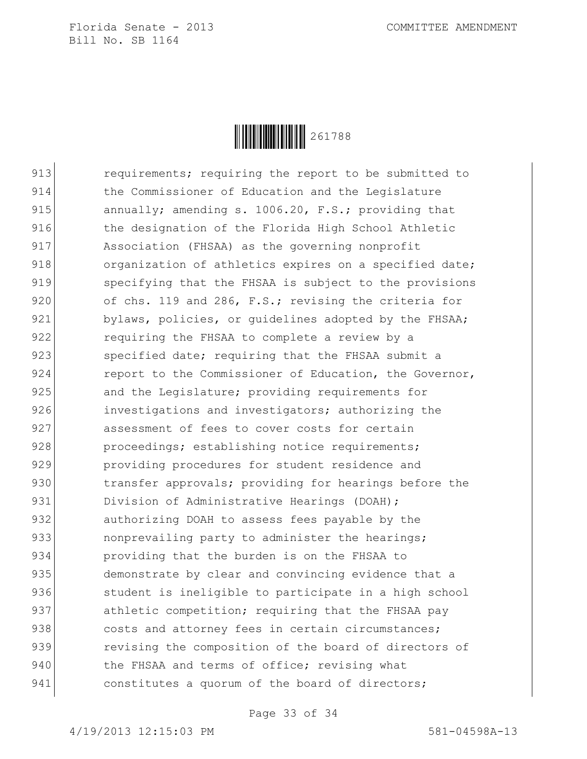

913 **requirements;** requiring the report to be submitted to 914 the Commissioner of Education and the Legislature 915 annually; amending s. 1006.20, F.S.; providing that 916 block the designation of the Florida High School Athletic 917 Association (FHSAA) as the governing nonprofit 918 organization of athletics expires on a specified date; 919 specifying that the FHSAA is subject to the provisions 920 of chs. 119 and 286, F.S.; revising the criteria for 921 bylaws, policies, or quidelines adopted by the FHSAA; 922 requiring the FHSAA to complete a review by a 923 specified date; requiring that the FHSAA submit a 924 report to the Commissioner of Education, the Governor, 925 and the Legislature; providing requirements for 926 **investigations and investigators;** authorizing the 927 assessment of fees to cover costs for certain 928 proceedings; establishing notice requirements; 929 **providing procedures for student residence and** 930 **exmaller 31 transfer approvals;** providing for hearings before the 931 Division of Administrative Hearings (DOAH); 932 authorizing DOAH to assess fees payable by the 933 nonprevailing party to administer the hearings; 934 providing that the burden is on the FHSAA to 935 demonstrate by clear and convincing evidence that a 936 student is ineligible to participate in a high school 937 athletic competition; requiring that the FHSAA pay 938 costs and attorney fees in certain circumstances; 939 **revising the composition of the board of directors of** 940 the FHSAA and terms of office; revising what 941 constitutes a quorum of the board of directors;